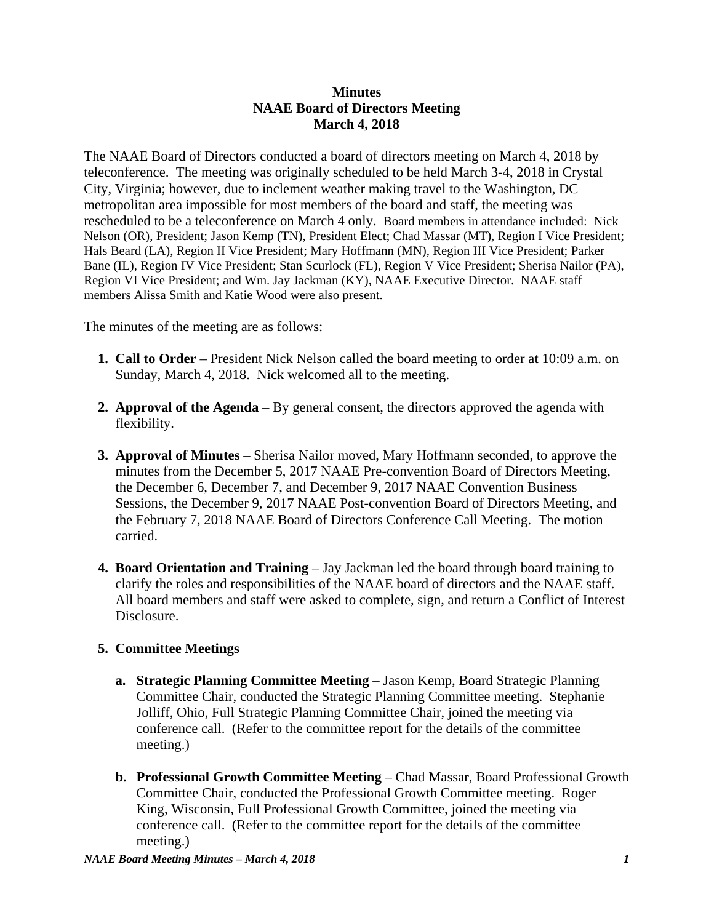## **Minutes NAAE Board of Directors Meeting March 4, 2018**

The NAAE Board of Directors conducted a board of directors meeting on March 4, 2018 by teleconference. The meeting was originally scheduled to be held March 3-4, 2018 in Crystal City, Virginia; however, due to inclement weather making travel to the Washington, DC metropolitan area impossible for most members of the board and staff, the meeting was rescheduled to be a teleconference on March 4 only. Board members in attendance included: Nick Nelson (OR), President; Jason Kemp (TN), President Elect; Chad Massar (MT), Region I Vice President; Hals Beard (LA), Region II Vice President; Mary Hoffmann (MN), Region III Vice President; Parker Bane (IL), Region IV Vice President; Stan Scurlock (FL), Region V Vice President; Sherisa Nailor (PA), Region VI Vice President; and Wm. Jay Jackman (KY), NAAE Executive Director. NAAE staff members Alissa Smith and Katie Wood were also present.

The minutes of the meeting are as follows:

- **1. Call to Order** President Nick Nelson called the board meeting to order at 10:09 a.m. on Sunday, March 4, 2018. Nick welcomed all to the meeting.
- **2. Approval of the Agenda** By general consent, the directors approved the agenda with flexibility.
- **3. Approval of Minutes** Sherisa Nailor moved, Mary Hoffmann seconded, to approve the minutes from the December 5, 2017 NAAE Pre-convention Board of Directors Meeting, the December 6, December 7, and December 9, 2017 NAAE Convention Business Sessions, the December 9, 2017 NAAE Post-convention Board of Directors Meeting, and the February 7, 2018 NAAE Board of Directors Conference Call Meeting. The motion carried.
- **4. Board Orientation and Training** Jay Jackman led the board through board training to clarify the roles and responsibilities of the NAAE board of directors and the NAAE staff. All board members and staff were asked to complete, sign, and return a Conflict of Interest Disclosure.

## **5. Committee Meetings**

- **a. Strategic Planning Committee Meeting** Jason Kemp, Board Strategic Planning Committee Chair, conducted the Strategic Planning Committee meeting. Stephanie Jolliff, Ohio, Full Strategic Planning Committee Chair, joined the meeting via conference call. (Refer to the committee report for the details of the committee meeting.)
- **b. Professional Growth Committee Meeting** Chad Massar, Board Professional Growth Committee Chair, conducted the Professional Growth Committee meeting. Roger King, Wisconsin, Full Professional Growth Committee, joined the meeting via conference call. (Refer to the committee report for the details of the committee meeting.)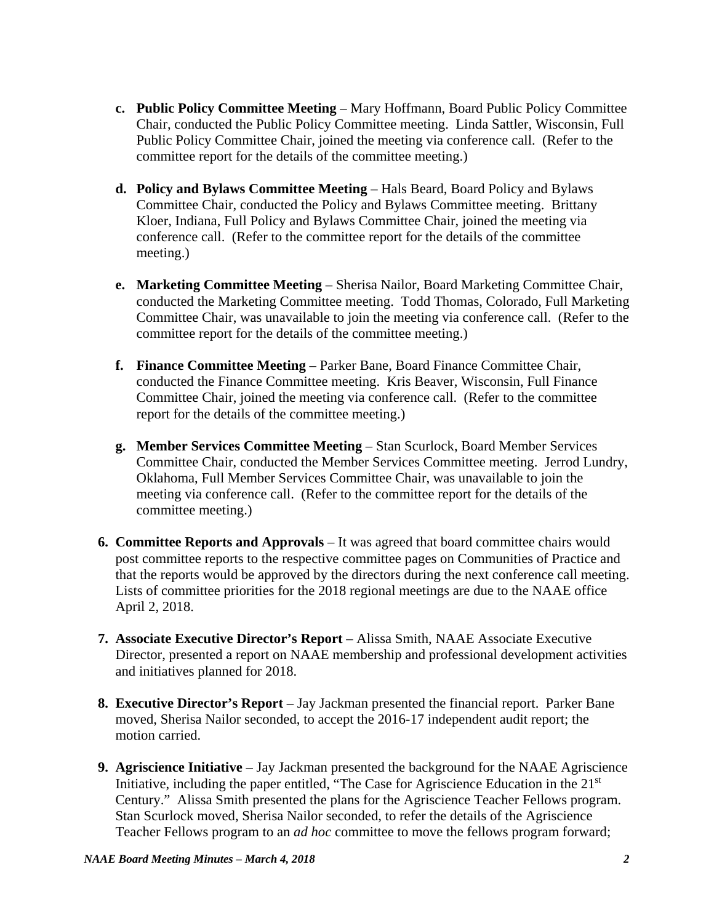- **c. Public Policy Committee Meeting** Mary Hoffmann, Board Public Policy Committee Chair, conducted the Public Policy Committee meeting. Linda Sattler, Wisconsin, Full Public Policy Committee Chair, joined the meeting via conference call. (Refer to the committee report for the details of the committee meeting.)
- **d. Policy and Bylaws Committee Meeting**  Hals Beard, Board Policy and Bylaws Committee Chair, conducted the Policy and Bylaws Committee meeting. Brittany Kloer, Indiana, Full Policy and Bylaws Committee Chair, joined the meeting via conference call. (Refer to the committee report for the details of the committee meeting.)
- **e. Marketing Committee Meeting** Sherisa Nailor, Board Marketing Committee Chair, conducted the Marketing Committee meeting. Todd Thomas, Colorado, Full Marketing Committee Chair, was unavailable to join the meeting via conference call. (Refer to the committee report for the details of the committee meeting.)
- **f. Finance Committee Meeting**  Parker Bane, Board Finance Committee Chair, conducted the Finance Committee meeting. Kris Beaver, Wisconsin, Full Finance Committee Chair, joined the meeting via conference call. (Refer to the committee report for the details of the committee meeting.)
- **g. Member Services Committee Meeting**  Stan Scurlock, Board Member Services Committee Chair, conducted the Member Services Committee meeting. Jerrod Lundry, Oklahoma, Full Member Services Committee Chair, was unavailable to join the meeting via conference call. (Refer to the committee report for the details of the committee meeting.)
- **6. Committee Reports and Approvals** It was agreed that board committee chairs would post committee reports to the respective committee pages on Communities of Practice and that the reports would be approved by the directors during the next conference call meeting. Lists of committee priorities for the 2018 regional meetings are due to the NAAE office April 2, 2018.
- **7. Associate Executive Director's Report** Alissa Smith, NAAE Associate Executive Director, presented a report on NAAE membership and professional development activities and initiatives planned for 2018.
- **8. Executive Director's Report**  Jay Jackman presented the financial report. Parker Bane moved, Sherisa Nailor seconded, to accept the 2016-17 independent audit report; the motion carried.
- **9. Agriscience Initiative** Jay Jackman presented the background for the NAAE Agriscience Initiative, including the paper entitled, "The Case for Agriscience Education in the 21<sup>st</sup> Century." Alissa Smith presented the plans for the Agriscience Teacher Fellows program. Stan Scurlock moved, Sherisa Nailor seconded, to refer the details of the Agriscience Teacher Fellows program to an *ad hoc* committee to move the fellows program forward;